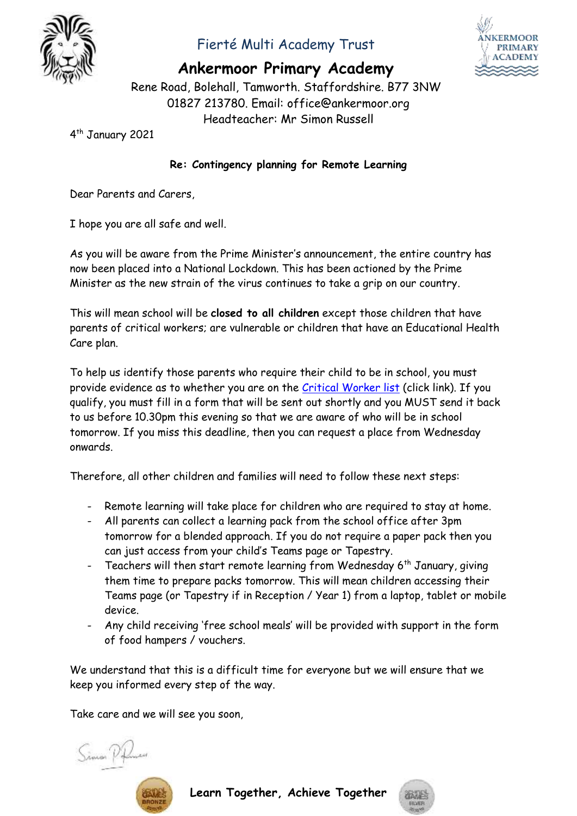

## Fierté Multi Academy Trust



**Ankermoor Primary Academy**

Rene Road, Bolehall, Tamworth. Staffordshire. B77 3NW 01827 213780. Email: office@ankermoor.org Headteacher: Mr Simon Russell

4 th January 2021

## **Re: Contingency planning for Remote Learning**

Dear Parents and Carers,

I hope you are all safe and well.

As you will be aware from the Prime Minister's announcement, the entire country has now been placed into a National Lockdown. This has been actioned by the Prime Minister as the new strain of the virus continues to take a grip on our country.

This will mean school will be **closed to all children** except those children that have parents of critical workers; are vulnerable or children that have an Educational Health Care plan.

To help us identify those parents who require their child to be in school, you must provide evidence as to whether you are on the [Critical Worker list](https://www.gov.uk/government/publications/coronavirus-covid-19-maintaining-educational-provision/guidance-for-schools-colleges-and-local-authorities-on-maintaining-educational-provision) (click link). If you qualify, you must fill in a form that will be sent out shortly and you MUST send it back to us before 10.30pm this evening so that we are aware of who will be in school tomorrow. If you miss this deadline, then you can request a place from Wednesday onwards.

Therefore, all other children and families will need to follow these next steps:

- Remote learning will take place for children who are required to stay at home.
- All parents can collect a learning pack from the school office after 3pm tomorrow for a blended approach. If you do not require a paper pack then you can just access from your child's Teams page or Tapestry.
- Teachers will then start remote learning from Wednesday  $6<sup>th</sup>$  January, giving them time to prepare packs tomorrow. This will mean children accessing their Teams page (or Tapestry if in Reception / Year 1) from a laptop, tablet or mobile device.
- Any child receiving 'free school meals' will be provided with support in the form of food hampers / vouchers.

We understand that this is a difficult time for everyone but we will ensure that we keep you informed every step of the way.

Take care and we will see you soon,





**Learn Together, Achieve Together**